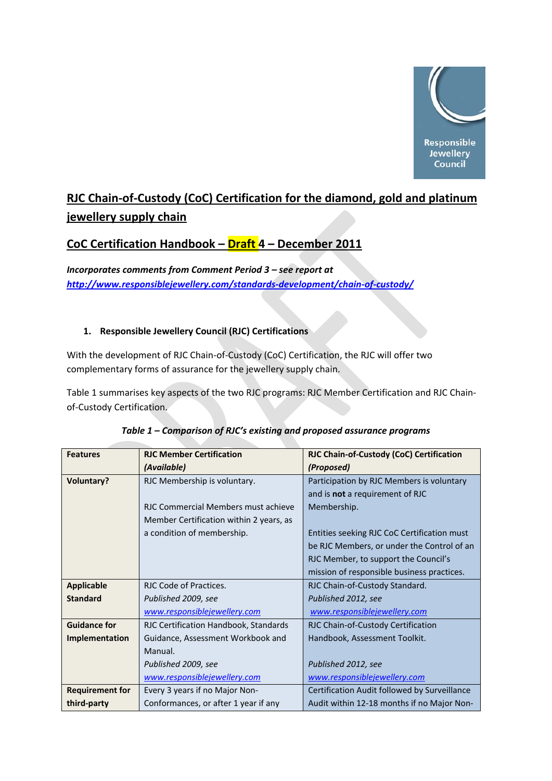

# **RJC Chain‐of‐Custody (CoC) Certification for the diamond, gold and platinum jewellery supply chain**

# **CoC Certification Handbook – Draft 4 – December 2011**

*Incorporates comments from Comment Period 3 – see report at [http://www.responsiblejewellery.com/standards](http://www.responsiblejewellery.com/standards-development/chain-of-custody/)‐development/chain‐of‐custody/* 

# **1. Responsible Jewellery Council (RJC) Certifications**

With the development of RJC Chain‐of‐Custody (CoC) Certification, the RJC will offer two complementary forms of assurance for the jewellery supply chain.

Table 1 summarises key aspects of the two RJC programs: RJC Member Certification and RJC Chain‐ of-Custody Certification.

| <b>Features</b>        | <b>RIC Member Certification</b>         | RJC Chain-of-Custody (CoC) Certification     |
|------------------------|-----------------------------------------|----------------------------------------------|
|                        | (Available)                             | (Proposed)                                   |
| <b>Voluntary?</b>      | RJC Membership is voluntary.            | Participation by RJC Members is voluntary    |
|                        |                                         | and is <b>not</b> a requirement of RJC       |
|                        | RJC Commercial Members must achieve     | Membership.                                  |
|                        | Member Certification within 2 years, as |                                              |
|                        | a condition of membership.              | Entities seeking RJC CoC Certification must  |
|                        |                                         | be RJC Members, or under the Control of an   |
|                        |                                         | RJC Member, to support the Council's         |
|                        |                                         | mission of responsible business practices.   |
| <b>Applicable</b>      | RJC Code of Practices.                  | RJC Chain-of-Custody Standard.               |
| <b>Standard</b>        | Published 2009, see                     | Published 2012, see                          |
|                        | www.responsiblejewellery.com            | www.responsiblejewellery.com                 |
| <b>Guidance for</b>    | RJC Certification Handbook, Standards   | RJC Chain-of-Custody Certification           |
| Implementation         | Guidance, Assessment Workbook and       | Handbook, Assessment Toolkit.                |
|                        | Manual.                                 |                                              |
|                        | Published 2009, see                     | Published 2012, see                          |
|                        | www.responsiblejewellery.com            | www.responsiblejewellery.com                 |
| <b>Requirement for</b> | Every 3 years if no Major Non-          | Certification Audit followed by Surveillance |
| third-party            | Conformances, or after 1 year if any    | Audit within 12-18 months if no Major Non-   |

|  |  | Table 1 – Comparison of RJC's existing and proposed assurance programs |
|--|--|------------------------------------------------------------------------|
|--|--|------------------------------------------------------------------------|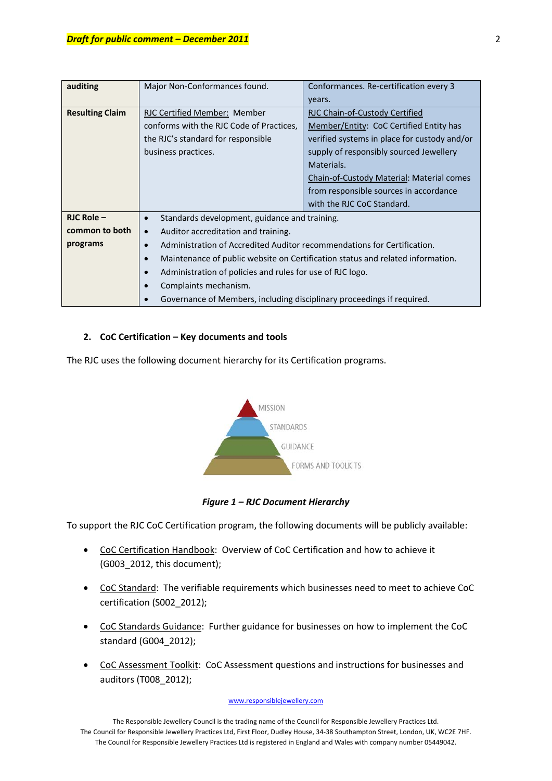| auditing               | Major Non-Conformances found.                                                        | Conformances. Re-certification every 3       |
|------------------------|--------------------------------------------------------------------------------------|----------------------------------------------|
|                        |                                                                                      | years.                                       |
| <b>Resulting Claim</b> | RJC Certified Member: Member                                                         | RJC Chain-of-Custody Certified               |
|                        | conforms with the RJC Code of Practices,                                             | Member/Entity: CoC Certified Entity has      |
|                        | the RJC's standard for responsible                                                   | verified systems in place for custody and/or |
|                        | business practices.                                                                  | supply of responsibly sourced Jewellery      |
|                        |                                                                                      | Materials.                                   |
|                        |                                                                                      | Chain-of-Custody Material: Material comes    |
|                        |                                                                                      | from responsible sources in accordance       |
|                        |                                                                                      | with the RJC CoC Standard.                   |
| $RJC$ Role $-$         | Standards development, guidance and training.<br>$\bullet$                           |                                              |
| common to both         | Auditor accreditation and training.<br>$\bullet$                                     |                                              |
| programs               | Administration of Accredited Auditor recommendations for Certification.<br>$\bullet$ |                                              |
|                        | Maintenance of public website on Certification status and related information.       |                                              |
|                        | Administration of policies and rules for use of RJC logo.                            |                                              |
|                        | Complaints mechanism.                                                                |                                              |
|                        | Governance of Members, including disciplinary proceedings if required.               |                                              |

# **2. CoC Certification – Key documents and tools**

The RJC uses the following document hierarchy for its Certification programs.



*Figure 1 – RJC Document Hierarchy*

To support the RJC CoC Certification program, the following documents will be publicly available:

- CoC Certification Handbook: Overview of CoC Certification and how to achieve it (G003\_2012, this document);
- CoC Standard: The verifiable requirements which businesses need to meet to achieve CoC certification (S002\_2012);
- CoC Standards Guidance: Further guidance for businesses on how to implement the CoC standard (G004\_2012);
- CoC Assessment Toolkit: CoC Assessment questions and instructions for businesses and auditors (T008\_2012);

## www.responsiblejewellery.com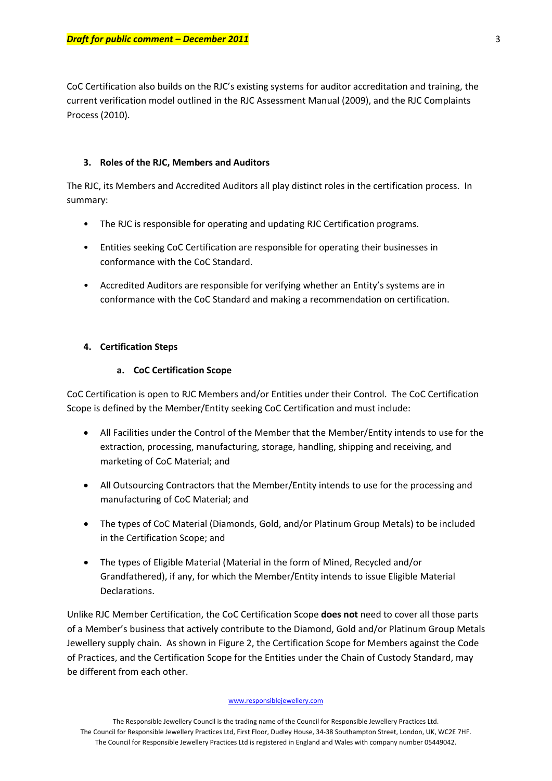CoC Certification also builds on the RJC's existing systems for auditor accreditation and training, the current verification model outlined in the RJC Assessment Manual (2009), and the RJC Complaints Process (2010).

## **3. Roles of the RJC, Members and Auditors**

The RJC, its Members and Accredited Auditors all play distinct roles in the certification process. In summary:

- The RJC is responsible for operating and updating RJC Certification programs.
- Entities seeking CoC Certification are responsible for operating their businesses in conformance with the CoC Standard.
- Accredited Auditors are responsible for verifying whether an Entity's systems are in conformance with the CoC Standard and making a recommendation on certification.

## **4. Certification Steps**

#### **a. CoC Certification Scope**

CoC Certification is open to RJC Members and/or Entities under their Control. The CoC Certification Scope is defined by the Member/Entity seeking CoC Certification and must include:

- All Facilities under the Control of the Member that the Member/Entity intends to use for the extraction, processing, manufacturing, storage, handling, shipping and receiving, and marketing of CoC Material; and
- All Outsourcing Contractors that the Member/Entity intends to use for the processing and manufacturing of CoC Material; and
- The types of CoC Material (Diamonds, Gold, and/or Platinum Group Metals) to be included in the Certification Scope; and
- The types of Eligible Material (Material in the form of Mined, Recycled and/or Grandfathered), if any, for which the Member/Entity intends to issue Eligible Material Declarations.

Unlike RJC Member Certification, the CoC Certification Scope **does not** need to cover all those parts of a Member's business that actively contribute to the Diamond, Gold and/or Platinum Group Metals Jewellery supply chain. As shown in Figure 2, the Certification Scope for Members against the Code of Practices, and the Certification Scope for the Entities under the Chain of Custody Standard, may be different from each other.

#### www.responsiblejewellery.com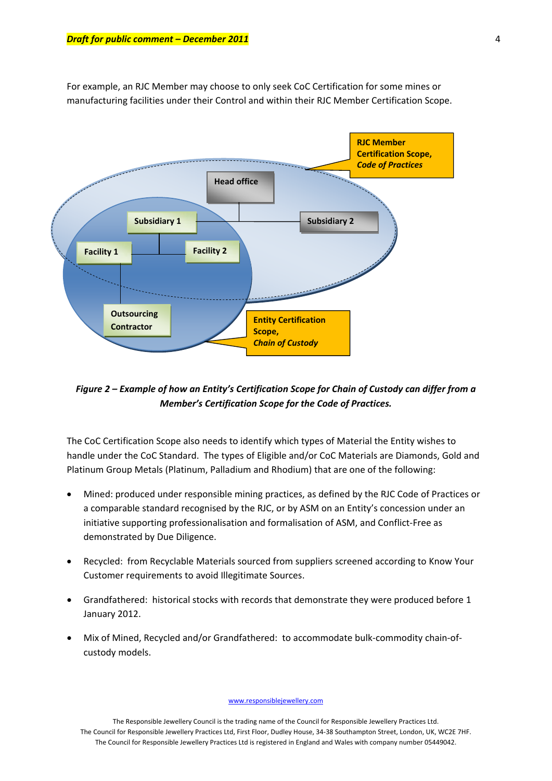For example, an RJC Member may choose to only seek CoC Certification for some mines or manufacturing facilities under their Control and within their RJC Member Certification Scope.



*Figure 2 – Example of how an Entity's Certification Scope for Chain of Custody can differ from a Member's Certification Scope for the Code of Practices.* 

The CoC Certification Scope also needs to identify which types of Material the Entity wishes to handle under the CoC Standard. The types of Eligible and/or CoC Materials are Diamonds, Gold and Platinum Group Metals (Platinum, Palladium and Rhodium) that are one of the following:

- Mined: produced under responsible mining practices, as defined by the RJC Code of Practices or a comparable standard recognised by the RJC, or by ASM on an Entity's concession under an initiative supporting professionalisation and formalisation of ASM, and Conflict‐Free as demonstrated by Due Diligence.
- Recycled: from Recyclable Materials sourced from suppliers screened according to Know Your Customer requirements to avoid Illegitimate Sources.
- Grandfathered: historical stocks with records that demonstrate they were produced before 1 January 2012.
- Mix of Mined, Recycled and/or Grandfathered: to accommodate bulk‐commodity chain‐of‐ custody models.

#### www.responsiblejewellery.com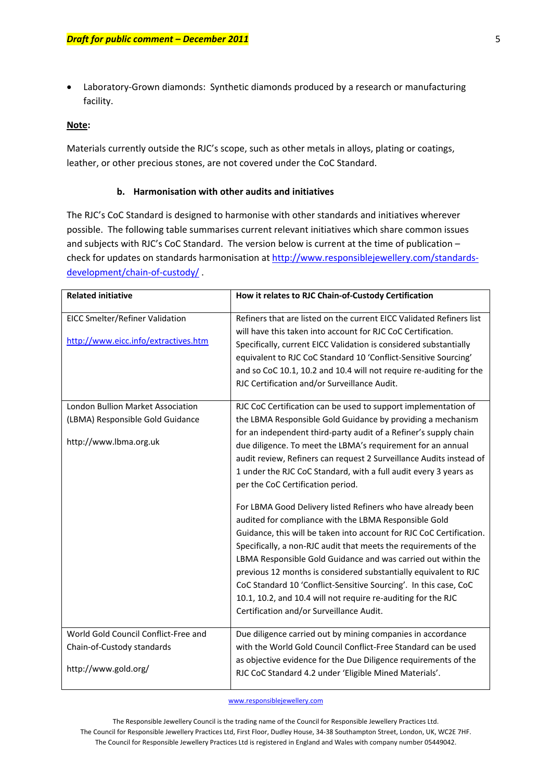• Laboratory‐Grown diamonds: Synthetic diamonds produced by a research or manufacturing facility.

#### **Note:**

Materials currently outside the RJC's scope, such as other metals in alloys, plating or coatings, leather, or other precious stones, are not covered under the CoC Standard.

#### **b. Harmonisation with other audits and initiatives**

The RJC's CoC Standard is designed to harmonise with other standards and initiatives wherever possible. The following table summarises current relevant initiatives which share common issues and subjects with RJC's CoC Standard. The version below is current at the time of publication – check for updates on standards harmonisation at [http://www.responsiblejewellery.com/standards](http://www.responsiblejewellery.com/standards-development/chain-of-custody/)[development/chain](http://www.responsiblejewellery.com/standards-development/chain-of-custody/)-of-custody/

| <b>Related initiative</b>                                                                       | How it relates to RJC Chain-of-Custody Certification                                                                                                                                                                                                                                                                                                                                                                                                                                                                                                                                                                                                                                                                                                                                                                                                       |
|-------------------------------------------------------------------------------------------------|------------------------------------------------------------------------------------------------------------------------------------------------------------------------------------------------------------------------------------------------------------------------------------------------------------------------------------------------------------------------------------------------------------------------------------------------------------------------------------------------------------------------------------------------------------------------------------------------------------------------------------------------------------------------------------------------------------------------------------------------------------------------------------------------------------------------------------------------------------|
| EICC Smelter/Refiner Validation<br>http://www.eicc.info/extractives.htm                         | Refiners that are listed on the current EICC Validated Refiners list<br>will have this taken into account for RJC CoC Certification.<br>Specifically, current EICC Validation is considered substantially<br>equivalent to RJC CoC Standard 10 'Conflict-Sensitive Sourcing'<br>and so CoC 10.1, 10.2 and 10.4 will not require re-auditing for the<br>RJC Certification and/or Surveillance Audit.                                                                                                                                                                                                                                                                                                                                                                                                                                                        |
| London Bullion Market Association<br>(LBMA) Responsible Gold Guidance<br>http://www.lbma.org.uk | RJC CoC Certification can be used to support implementation of<br>the LBMA Responsible Gold Guidance by providing a mechanism<br>for an independent third-party audit of a Refiner's supply chain<br>due diligence. To meet the LBMA's requirement for an annual<br>audit review, Refiners can request 2 Surveillance Audits instead of<br>1 under the RJC CoC Standard, with a full audit every 3 years as<br>per the CoC Certification period.<br>For LBMA Good Delivery listed Refiners who have already been<br>audited for compliance with the LBMA Responsible Gold<br>Guidance, this will be taken into account for RJC CoC Certification.<br>Specifically, a non-RJC audit that meets the requirements of the<br>LBMA Responsible Gold Guidance and was carried out within the<br>previous 12 months is considered substantially equivalent to RJC |
|                                                                                                 | CoC Standard 10 'Conflict-Sensitive Sourcing'. In this case, CoC<br>10.1, 10.2, and 10.4 will not require re-auditing for the RJC<br>Certification and/or Surveillance Audit.                                                                                                                                                                                                                                                                                                                                                                                                                                                                                                                                                                                                                                                                              |
| World Gold Council Conflict-Free and                                                            | Due diligence carried out by mining companies in accordance                                                                                                                                                                                                                                                                                                                                                                                                                                                                                                                                                                                                                                                                                                                                                                                                |
| Chain-of-Custody standards                                                                      | with the World Gold Council Conflict-Free Standard can be used                                                                                                                                                                                                                                                                                                                                                                                                                                                                                                                                                                                                                                                                                                                                                                                             |
| http://www.gold.org/                                                                            | as objective evidence for the Due Diligence requirements of the<br>RJC CoC Standard 4.2 under 'Eligible Mined Materials'.                                                                                                                                                                                                                                                                                                                                                                                                                                                                                                                                                                                                                                                                                                                                  |

www.responsiblejewellery.com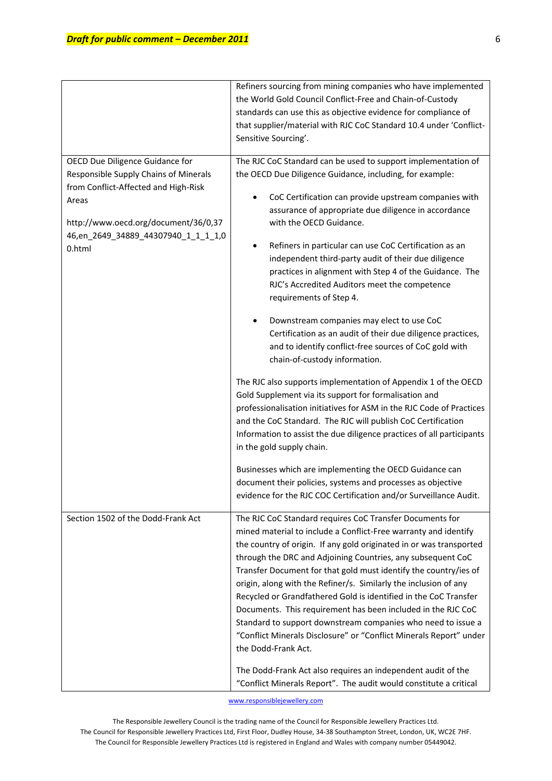|                                                                                                                                                                                                                    | Refiners sourcing from mining companies who have implemented<br>the World Gold Council Conflict-Free and Chain-of-Custody<br>standards can use this as objective evidence for compliance of<br>that supplier/material with RJC CoC Standard 10.4 under 'Conflict-<br>Sensitive Sourcing'.                                                                                                                                                                                                                                                                                                                                                                                                                                                                                                                                                       |
|--------------------------------------------------------------------------------------------------------------------------------------------------------------------------------------------------------------------|-------------------------------------------------------------------------------------------------------------------------------------------------------------------------------------------------------------------------------------------------------------------------------------------------------------------------------------------------------------------------------------------------------------------------------------------------------------------------------------------------------------------------------------------------------------------------------------------------------------------------------------------------------------------------------------------------------------------------------------------------------------------------------------------------------------------------------------------------|
| OECD Due Diligence Guidance for<br>Responsible Supply Chains of Minerals<br>from Conflict-Affected and High-Risk<br>Areas<br>http://www.oecd.org/document/36/0,37<br>46,en_2649_34889_44307940_1_1_1_1,0<br>0.html | The RJC CoC Standard can be used to support implementation of<br>the OECD Due Diligence Guidance, including, for example:<br>CoC Certification can provide upstream companies with<br>٠<br>assurance of appropriate due diligence in accordance<br>with the OECD Guidance.<br>Refiners in particular can use CoC Certification as an<br>٠<br>independent third-party audit of their due diligence<br>practices in alignment with Step 4 of the Guidance. The<br>RJC's Accredited Auditors meet the competence<br>requirements of Step 4.<br>Downstream companies may elect to use CoC<br>٠<br>Certification as an audit of their due diligence practices,                                                                                                                                                                                       |
|                                                                                                                                                                                                                    | and to identify conflict-free sources of CoC gold with<br>chain-of-custody information.<br>The RJC also supports implementation of Appendix 1 of the OECD<br>Gold Supplement via its support for formalisation and<br>professionalisation initiatives for ASM in the RJC Code of Practices<br>and the CoC Standard. The RJC will publish CoC Certification<br>Information to assist the due diligence practices of all participants<br>in the gold supply chain.<br>Businesses which are implementing the OECD Guidance can<br>document their policies, systems and processes as objective<br>evidence for the RJC COC Certification and/or Surveillance Audit.                                                                                                                                                                                 |
| Section 1502 of the Dodd-Frank Act                                                                                                                                                                                 | The RJC CoC Standard requires CoC Transfer Documents for<br>mined material to include a Conflict-Free warranty and identify<br>the country of origin. If any gold originated in or was transported<br>through the DRC and Adjoining Countries, any subsequent CoC<br>Transfer Document for that gold must identify the country/ies of<br>origin, along with the Refiner/s. Similarly the inclusion of any<br>Recycled or Grandfathered Gold is identified in the CoC Transfer<br>Documents. This requirement has been included in the RJC CoC<br>Standard to support downstream companies who need to issue a<br>"Conflict Minerals Disclosure" or "Conflict Minerals Report" under<br>the Dodd-Frank Act.<br>The Dodd-Frank Act also requires an independent audit of the<br>"Conflict Minerals Report". The audit would constitute a critical |

www.responsiblejewellery.com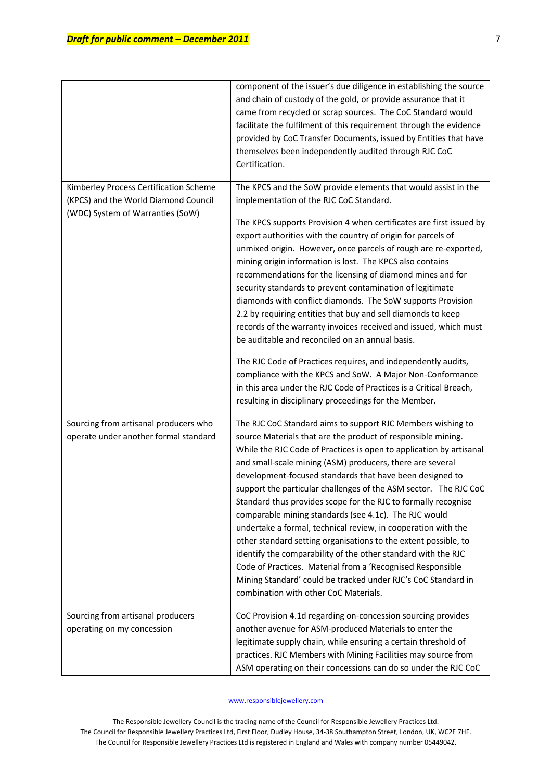|                                                                                | component of the issuer's due diligence in establishing the source<br>and chain of custody of the gold, or provide assurance that it<br>came from recycled or scrap sources. The CoC Standard would<br>facilitate the fulfilment of this requirement through the evidence<br>provided by CoC Transfer Documents, issued by Entities that have<br>themselves been independently audited through RJC CoC<br>Certification.                                                                                                                                                                                                                                                                                                                                                                                                                                                                                          |
|--------------------------------------------------------------------------------|-------------------------------------------------------------------------------------------------------------------------------------------------------------------------------------------------------------------------------------------------------------------------------------------------------------------------------------------------------------------------------------------------------------------------------------------------------------------------------------------------------------------------------------------------------------------------------------------------------------------------------------------------------------------------------------------------------------------------------------------------------------------------------------------------------------------------------------------------------------------------------------------------------------------|
| Kimberley Process Certification Scheme<br>(KPCS) and the World Diamond Council | The KPCS and the SoW provide elements that would assist in the<br>implementation of the RJC CoC Standard.                                                                                                                                                                                                                                                                                                                                                                                                                                                                                                                                                                                                                                                                                                                                                                                                         |
| (WDC) System of Warranties (SoW)                                               | The KPCS supports Provision 4 when certificates are first issued by<br>export authorities with the country of origin for parcels of<br>unmixed origin. However, once parcels of rough are re-exported,<br>mining origin information is lost. The KPCS also contains<br>recommendations for the licensing of diamond mines and for<br>security standards to prevent contamination of legitimate<br>diamonds with conflict diamonds. The SoW supports Provision<br>2.2 by requiring entities that buy and sell diamonds to keep<br>records of the warranty invoices received and issued, which must<br>be auditable and reconciled on an annual basis.<br>The RJC Code of Practices requires, and independently audits,<br>compliance with the KPCS and SoW. A Major Non-Conformance<br>in this area under the RJC Code of Practices is a Critical Breach,<br>resulting in disciplinary proceedings for the Member. |
| Sourcing from artisanal producers who                                          | The RJC CoC Standard aims to support RJC Members wishing to                                                                                                                                                                                                                                                                                                                                                                                                                                                                                                                                                                                                                                                                                                                                                                                                                                                       |
| operate under another formal standard                                          | source Materials that are the product of responsible mining.<br>While the RJC Code of Practices is open to application by artisanal<br>and small-scale mining (ASM) producers, there are several<br>development-focused standards that have been designed to<br>support the particular challenges of the ASM sector. The RJC CoC<br>Standard thus provides scope for the RJC to formally recognise<br>comparable mining standards (see 4.1c). The RJC would<br>undertake a formal, technical review, in cooperation with the<br>other standard setting organisations to the extent possible, to<br>identify the comparability of the other standard with the RJC<br>Code of Practices. Material from a 'Recognised Responsible<br>Mining Standard' could be tracked under RJC's CoC Standard in<br>combination with other CoC Materials.                                                                          |
| Sourcing from artisanal producers<br>operating on my concession                | CoC Provision 4.1d regarding on-concession sourcing provides<br>another avenue for ASM-produced Materials to enter the<br>legitimate supply chain, while ensuring a certain threshold of<br>practices. RJC Members with Mining Facilities may source from<br>ASM operating on their concessions can do so under the RJC CoC                                                                                                                                                                                                                                                                                                                                                                                                                                                                                                                                                                                       |

#### www.responsiblejewellery.com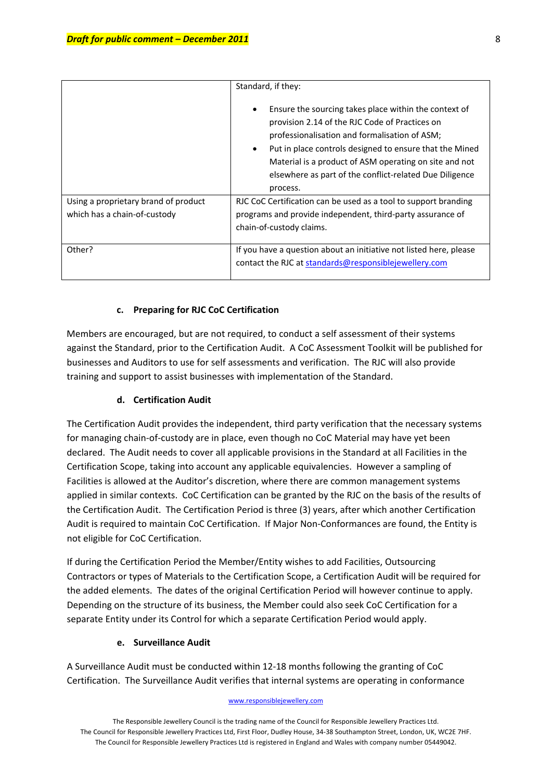|                                      | Standard, if they:                                                                                                                                                                                                                                                                                                                                   |
|--------------------------------------|------------------------------------------------------------------------------------------------------------------------------------------------------------------------------------------------------------------------------------------------------------------------------------------------------------------------------------------------------|
|                                      | Ensure the sourcing takes place within the context of<br>provision 2.14 of the RJC Code of Practices on<br>professionalisation and formalisation of ASM;<br>Put in place controls designed to ensure that the Mined<br>Material is a product of ASM operating on site and not<br>elsewhere as part of the conflict-related Due Diligence<br>process. |
| Using a proprietary brand of product | RJC CoC Certification can be used as a tool to support branding                                                                                                                                                                                                                                                                                      |
| which has a chain-of-custody         | programs and provide independent, third-party assurance of                                                                                                                                                                                                                                                                                           |
|                                      | chain-of-custody claims.                                                                                                                                                                                                                                                                                                                             |
|                                      |                                                                                                                                                                                                                                                                                                                                                      |
| Other?                               | If you have a question about an initiative not listed here, please                                                                                                                                                                                                                                                                                   |
|                                      | contact the RJC at standards@responsiblejewellery.com                                                                                                                                                                                                                                                                                                |
|                                      |                                                                                                                                                                                                                                                                                                                                                      |

## **c. Preparing for RJC CoC Certification**

Members are encouraged, but are not required, to conduct a self assessment of their systems against the Standard, prior to the Certification Audit. A CoC Assessment Toolkit will be published for businesses and Auditors to use for self assessments and verification. The RJC will also provide training and support to assist businesses with implementation of the Standard.

# **d. Certification Audit**

The Certification Audit provides the independent, third party verification that the necessary systems for managing chain‐of‐custody are in place, even though no CoC Material may have yet been declared. The Audit needs to cover all applicable provisions in the Standard at all Facilities in the Certification Scope, taking into account any applicable equivalencies. However a sampling of Facilities is allowed at the Auditor's discretion, where there are common management systems applied in similar contexts. CoC Certification can be granted by the RJC on the basis of the results of the Certification Audit. The Certification Period is three (3) years, after which another Certification Audit is required to maintain CoC Certification. If Major Non‐Conformances are found, the Entity is not eligible for CoC Certification.

If during the Certification Period the Member/Entity wishes to add Facilities, Outsourcing Contractors or types of Materials to the Certification Scope, a Certification Audit will be required for the added elements. The dates of the original Certification Period will however continue to apply. Depending on the structure of its business, the Member could also seek CoC Certification for a separate Entity under its Control for which a separate Certification Period would apply.

## **e. Surveillance Audit**

A Surveillance Audit must be conducted within 12‐18 months following the granting of CoC Certification. The Surveillance Audit verifies that internal systems are operating in conformance

#### www.responsiblejewellery.com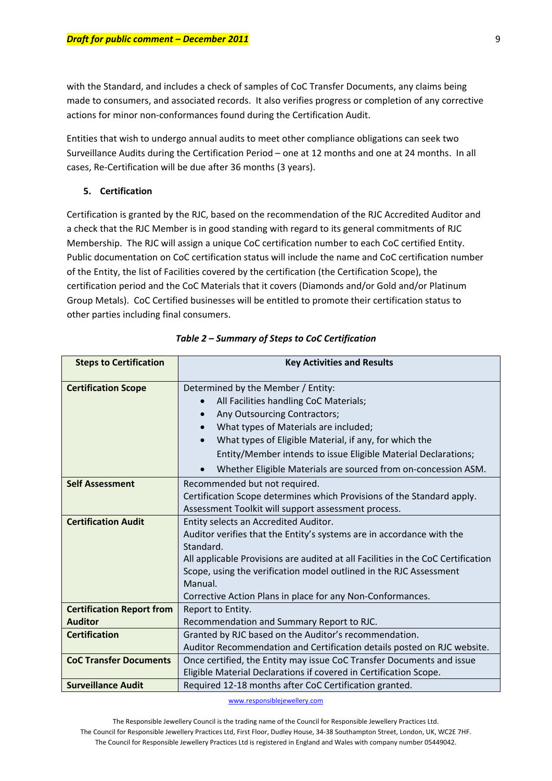with the Standard, and includes a check of samples of CoC Transfer Documents, any claims being made to consumers, and associated records. It also verifies progress or completion of any corrective actions for minor non‐conformances found during the Certification Audit.

Entities that wish to undergo annual audits to meet other compliance obligations can seek two Surveillance Audits during the Certification Period – one at 12 months and one at 24 months. In all cases, Re‐Certification will be due after 36 months (3 years).

#### **5. Certification**

Certification is granted by the RJC, based on the recommendation of the RJC Accredited Auditor and a check that the RJC Member is in good standing with regard to its general commitments of RJC Membership. The RJC will assign a unique CoC certification number to each CoC certified Entity. Public documentation on CoC certification status will include the name and CoC certification number of the Entity, the list of Facilities covered by the certification (the Certification Scope), the certification period and the CoC Materials that it covers (Diamonds and/or Gold and/or Platinum Group Metals). CoC Certified businesses will be entitled to promote their certification status to other parties including final consumers.

| <b>Steps to Certification</b>                      | <b>Key Activities and Results</b>                                                                                                                                                                                                                                                                                                                                                          |
|----------------------------------------------------|--------------------------------------------------------------------------------------------------------------------------------------------------------------------------------------------------------------------------------------------------------------------------------------------------------------------------------------------------------------------------------------------|
| <b>Certification Scope</b>                         | Determined by the Member / Entity:<br>All Facilities handling CoC Materials;<br>Any Outsourcing Contractors;<br>$\bullet$<br>What types of Materials are included;<br>$\bullet$<br>What types of Eligible Material, if any, for which the<br>$\bullet$<br>Entity/Member intends to issue Eligible Material Declarations;<br>Whether Eligible Materials are sourced from on-concession ASM. |
| <b>Self Assessment</b>                             | Recommended but not required.<br>Certification Scope determines which Provisions of the Standard apply.<br>Assessment Toolkit will support assessment process.                                                                                                                                                                                                                             |
| <b>Certification Audit</b>                         | Entity selects an Accredited Auditor.<br>Auditor verifies that the Entity's systems are in accordance with the<br>Standard.<br>All applicable Provisions are audited at all Facilities in the CoC Certification<br>Scope, using the verification model outlined in the RJC Assessment<br>Manual.<br>Corrective Action Plans in place for any Non-Conformances.                             |
| <b>Certification Report from</b><br><b>Auditor</b> | Report to Entity.<br>Recommendation and Summary Report to RJC.                                                                                                                                                                                                                                                                                                                             |
| <b>Certification</b>                               | Granted by RJC based on the Auditor's recommendation.<br>Auditor Recommendation and Certification details posted on RJC website.                                                                                                                                                                                                                                                           |
| <b>CoC Transfer Documents</b>                      | Once certified, the Entity may issue CoC Transfer Documents and issue<br>Eligible Material Declarations if covered in Certification Scope.                                                                                                                                                                                                                                                 |
| <b>Surveillance Audit</b>                          | Required 12-18 months after CoC Certification granted.                                                                                                                                                                                                                                                                                                                                     |

*Table 2 – Summary of Steps to CoC Certification*

www.responsiblejewellery.com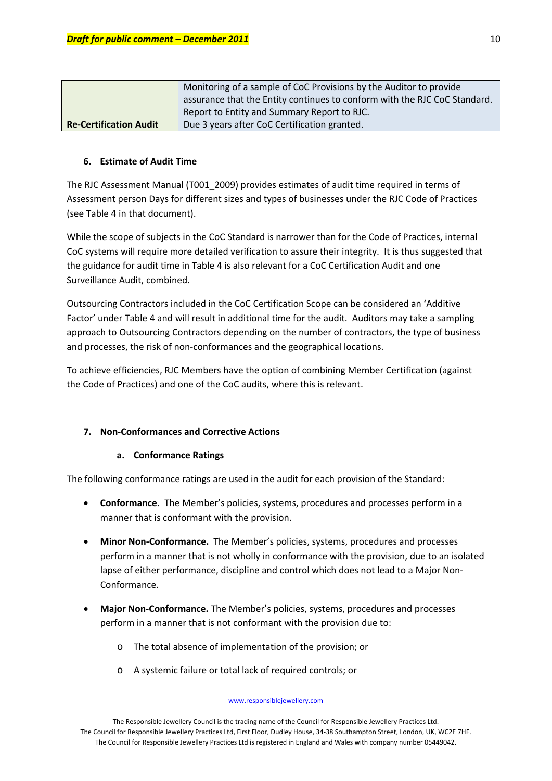|                               | Monitoring of a sample of CoC Provisions by the Auditor to provide        |
|-------------------------------|---------------------------------------------------------------------------|
|                               | assurance that the Entity continues to conform with the RJC CoC Standard. |
|                               | Report to Entity and Summary Report to RJC.                               |
| <b>Re-Certification Audit</b> | Due 3 years after CoC Certification granted.                              |

# **6. Estimate of Audit Time**

The RJC Assessment Manual (T001\_2009) provides estimates of audit time required in terms of Assessment person Days for different sizes and types of businesses under the RJC Code of Practices (see Table 4 in that document).

While the scope of subjects in the CoC Standard is narrower than for the Code of Practices, internal CoC systems will require more detailed verification to assure their integrity. It is thus suggested that the guidance for audit time in Table 4 is also relevant for a CoC Certification Audit and one Surveillance Audit, combined.

Outsourcing Contractors included in the CoC Certification Scope can be considered an 'Additive Factor' under Table 4 and will result in additional time for the audit. Auditors may take a sampling approach to Outsourcing Contractors depending on the number of contractors, the type of business and processes, the risk of non‐conformances and the geographical locations.

To achieve efficiencies, RJC Members have the option of combining Member Certification (against the Code of Practices) and one of the CoC audits, where this is relevant.

# **7. Non‐Conformances and Corrective Actions**

## **a. Conformance Ratings**

The following conformance ratings are used in the audit for each provision of the Standard:

- **Conformance.** The Member's policies, systems, procedures and processes perform in a manner that is conformant with the provision.
- **Minor Non‐Conformance.** The Member's policies, systems, procedures and processes perform in a manner that is not wholly in conformance with the provision, due to an isolated lapse of either performance, discipline and control which does not lead to a Major Non-Conformance.
- **Major Non‐Conformance.** The Member's policies, systems, procedures and processes perform in a manner that is not conformant with the provision due to:
	- o The total absence of implementation of the provision; or
	- o A systemic failure or total lack of required controls; or

#### www.responsiblejewellery.com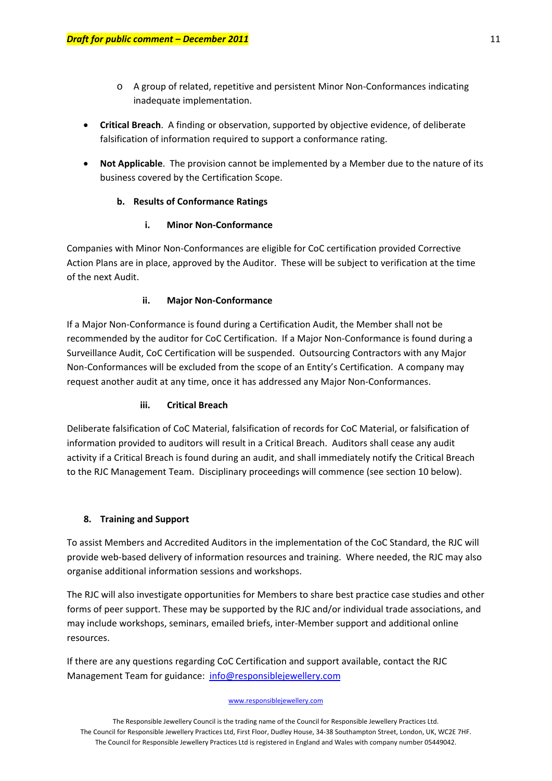- o A group of related, repetitive and persistent Minor Non‐Conformances indicating inadequate implementation.
- **Critical Breach**. A finding or observation, supported by objective evidence, of deliberate falsification of information required to support a conformance rating.
- **Not Applicable**. The provision cannot be implemented by a Member due to the nature of its business covered by the Certification Scope.

# **b. Results of Conformance Ratings**

# **i. Minor Non‐Conformance**

Companies with Minor Non‐Conformances are eligible for CoC certification provided Corrective Action Plans are in place, approved by the Auditor. These will be subject to verification at the time of the next Audit.

# **ii. Major Non‐Conformance**

If a Major Non‐Conformance is found during a Certification Audit, the Member shall not be recommended by the auditor for CoC Certification. If a Major Non‐Conformance is found during a Surveillance Audit, CoC Certification will be suspended. Outsourcing Contractors with any Major Non-Conformances will be excluded from the scope of an Entity's Certification. A company may request another audit at any time, once it has addressed any Major Non‐Conformances.

# **iii. Critical Breach**

Deliberate falsification of CoC Material, falsification of records for CoC Material, or falsification of information provided to auditors will result in a Critical Breach. Auditors shall cease any audit activity if a Critical Breach is found during an audit, and shall immediately notify the Critical Breach to the RJC Management Team. Disciplinary proceedings will commence (see section 10 below).

# **8. Training and Support**

To assist Members and Accredited Auditors in the implementation of the CoC Standard, the RJC will provide web-based delivery of information resources and training. Where needed, the RJC may also organise additional information sessions and workshops.

The RJC will also investigate opportunities for Members to share best practice case studies and other forms of peer support. These may be supported by the RJC and/or individual trade associations, and may include workshops, seminars, emailed briefs, inter‐Member support and additional online resources.

If there are any questions regarding CoC Certification and support available, contact the RJC Management Team for guidance: [info@responsiblejewellery.com](mailto:info@responsiblejewellery.com)

#### www.responsiblejewellery.com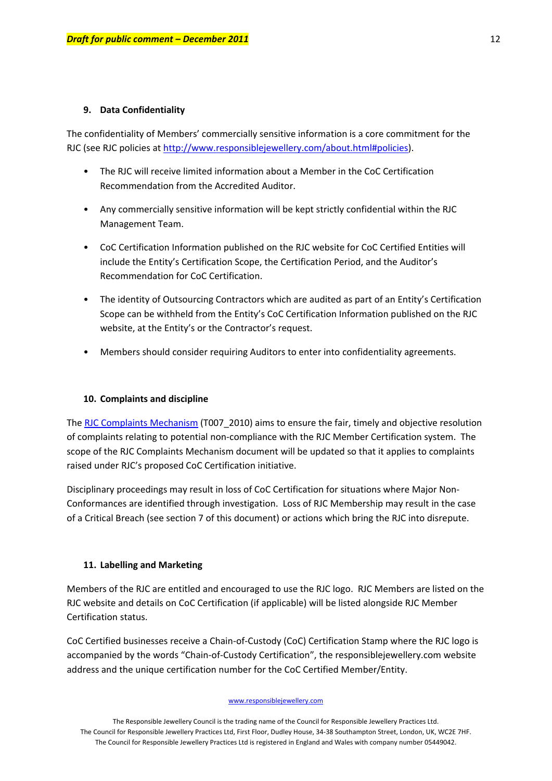#### **9. Data Confidentiality**

The confidentiality of Members' commercially sensitive information is a core commitment for the RJC (see RJC policies at <http://www.responsiblejewellery.com/about.html#policies>).

- The RJC will receive limited information about a Member in the CoC Certification Recommendation from the Accredited Auditor.
- Any commercially sensitive information will be kept strictly confidential within the RJC Management Team.
- CoC Certification Information published on the RJC website for CoC Certified Entities will include the Entity's Certification Scope, the Certification Period, and the Auditor's Recommendation for CoC Certification.
- The identity of Outsourcing Contractors which are audited as part of an Entity's Certification Scope can be withheld from the Entity's CoC Certification Information published on the RJC website, at the Entity's or the Contractor's request.
- Members should consider requiring Auditors to enter into confidentiality agreements.

#### **10. Complaints and discipline**

The RJC Complaints [Mechanism](http://www.responsiblejewellery.com/certification.html#complaints) (T007-2010) aims to ensure the fair, timely and objective resolution of complaints relating to potential non‐compliance with the RJC Member Certification system. The scope of the RJC Complaints Mechanism document will be updated so that it applies to complaints raised under RJC's proposed CoC Certification initiative.

Disciplinary proceedings may result in loss of CoC Certification for situations where Major Non‐ Conformances are identified through investigation. Loss of RJC Membership may result in the case of a Critical Breach (see section 7 of this document) or actions which bring the RJC into disrepute.

#### **11. Labelling and Marketing**

Members of the RJC are entitled and encouraged to use the RJC logo. RJC Members are listed on the RJC website and details on CoC Certification (if applicable) will be listed alongside RJC Member Certification status.

CoC Certified businesses receive a Chain‐of‐Custody (CoC) Certification Stamp where the RJC logo is accompanied by the words "Chain‐of‐Custody Certification", the responsiblejewellery.com website address and the unique certification number for the CoC Certified Member/Entity.

#### www.responsiblejewellery.com